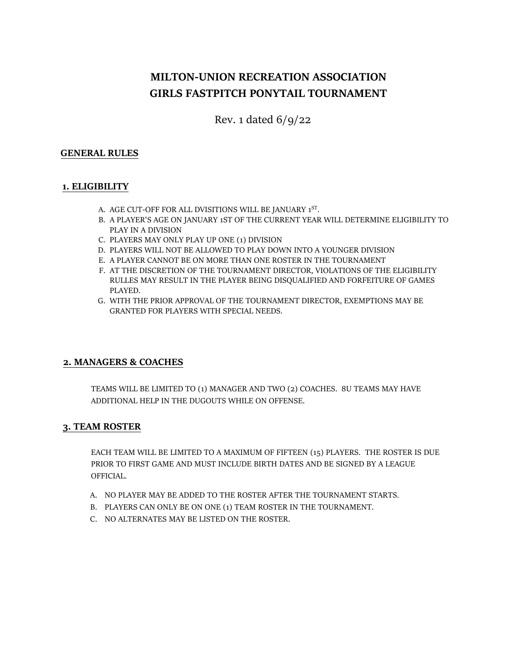# **MILTON-UNION RECREATION ASSOCIATION GIRLS FASTPITCH PONYTAIL TOURNAMENT**

Rev. 1 dated 6/9/22

#### **GENERAL RULES**

### **1. ELIGIBILITY**

- A. AGE CUT-OFF FOR ALL DVISITIONS WILL BE JANUARY 1<sup>ST</sup>.
- B. A PLAYER'S AGE ON JANUARY 1ST OF THE CURRENT YEAR WILL DETERMINE ELIGIBILITY TO PLAY IN A DIVISION
- C. PLAYERS MAY ONLY PLAY UP ONE (1) DIVISION
- D. PLAYERS WILL NOT BE ALLOWED TO PLAY DOWN INTO A YOUNGER DIVISION
- E. A PLAYER CANNOT BE ON MORE THAN ONE ROSTER IN THE TOURNAMENT
- F. AT THE DISCRETION OF THE TOURNAMENT DIRECTOR, VIOLATIONS OF THE ELIGIBILITY RULLES MAY RESULT IN THE PLAYER BEING DISQUALIFIED AND FORFEITURE OF GAMES PLAYED.
- G. WITH THE PRIOR APPROVAL OF THE TOURNAMENT DIRECTOR, EXEMPTIONS MAY BE GRANTED FOR PLAYERS WITH SPECIAL NEEDS.

## **2. MANAGERS & COACHES**

TEAMS WILL BE LIMITED TO (1) MANAGER AND TWO (2) COACHES. 8U TEAMS MAY HAVE ADDITIONAL HELP IN THE DUGOUTS WHILE ON OFFENSE.

#### **3. TEAM ROSTER**

EACH TEAM WILL BE LIMITED TO A MAXIMUM OF FIFTEEN (15) PLAYERS. THE ROSTER IS DUE PRIOR TO FIRST GAME AND MUST INCLUDE BIRTH DATES AND BE SIGNED BY A LEAGUE OFFICIAL.

- A. NO PLAYER MAY BE ADDED TO THE ROSTER AFTER THE TOURNAMENT STARTS.
- B. PLAYERS CAN ONLY BE ON ONE (1) TEAM ROSTER IN THE TOURNAMENT.
- C. NO ALTERNATES MAY BE LISTED ON THE ROSTER.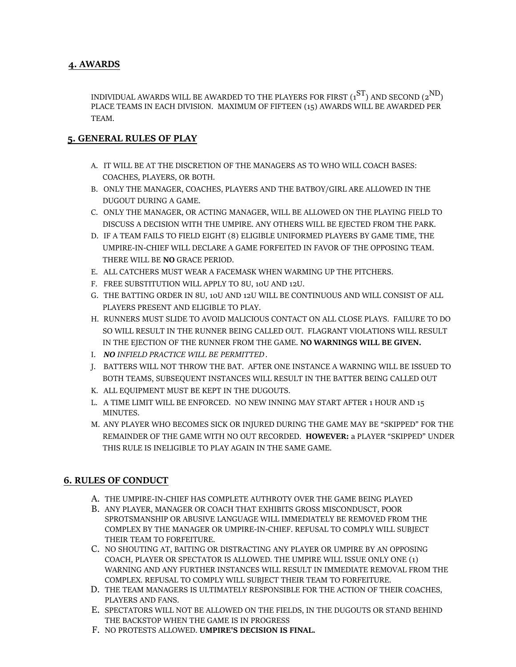## **4. AWARDS**

INDIVIDUAL AWARDS WILL BE AWARDED TO THE PLAYERS FOR FIRST  $(1^{ST})$  AND SECOND  $(2^{ND})$ PLACE TEAMS IN EACH DIVISION. MAXIMUM OF FIFTEEN (15) AWARDS WILL BE AWARDED PER TEAM.

## **5. GENERAL RULES OF PLAY**

- A. IT WILL BE AT THE DISCRETION OF THE MANAGERS AS TO WHO WILL COACH BASES: COACHES, PLAYERS, OR BOTH.
- B. ONLY THE MANAGER, COACHES, PLAYERS AND THE BATBOY/GIRL ARE ALLOWED IN THE DUGOUT DURING A GAME.
- C. ONLY THE MANAGER, OR ACTING MANAGER, WILL BE ALLOWED ON THE PLAYING FIELD TO DISCUSS A DECISION WITH THE UMPIRE. ANY OTHERS WILL BE EJECTED FROM THE PARK.
- D. IF A TEAM FAILS TO FIELD EIGHT (8) ELIGIBLE UNIFORMED PLAYERS BY GAME TIME, THE UMPIRE-IN-CHIEF WILL DECLARE A GAME FORFEITED IN FAVOR OF THE OPPOSING TEAM. THERE WILL BE **NO** GRACE PERIOD.
- E. ALL CATCHERS MUST WEAR A FACEMASK WHEN WARMING UP THE PITCHERS.
- F. FREE SUBSTITUTION WILL APPLY TO 8U, 10U AND 12U.
- G. THE BATTING ORDER IN 8U, 10U AND 12U WILL BE CONTINUOUS AND WILL CONSIST OF ALL PLAYERS PRESENT AND ELIGIBLE TO PLAY.
- H. RUNNERS MUST SLIDE TO AVOID MALICIOUS CONTACT ON ALL CLOSE PLAYS. FAILURE TO DO SO WILL RESULT IN THE RUNNER BEING CALLED OUT. FLAGRANT VIOLATIONS WILL RESULT IN THE EJECTION OF THE RUNNER FROM THE GAME. **NO WARNINGS WILL BE GIVEN.**
- I. *NO INFIELD PRACTICE WILL BE PERMITTED*.
- J. BATTERS WILL NOT THROW THE BAT. AFTER ONE INSTANCE A WARNING WILL BE ISSUED TO BOTH TEAMS, SUBSEQUENT INSTANCES WILL RESULT IN THE BATTER BEING CALLED OUT
- K. ALL EQUIPMENT MUST BE KEPT IN THE DUGOUTS.
- L. A TIME LIMIT WILL BE ENFORCED. NO NEW INNING MAY START AFTER 1 HOUR AND 15 MINUTES.
- M. ANY PLAYER WHO BECOMES SICK OR INJURED DURING THE GAME MAY BE "SKIPPED" FOR THE REMAINDER OF THE GAME WITH NO OUT RECORDED. **HOWEVER:** a PLAYER "SKIPPED" UNDER THIS RULE IS INELIGIBLE TO PLAY AGAIN IN THE SAME GAME.

## **6. RULES OF CONDUCT**

- A. THE UMPIRE-IN-CHIEF HAS COMPLETE AUTHROTY OVER THE GAME BEING PLAYED
- B. ANY PLAYER, MANAGER OR COACH THAT EXHIBITS GROSS MISCONDUSCT, POOR SPROTSMANSHIP OR ABUSIVE LANGUAGE WILL IMMEDIATELY BE REMOVED FROM THE COMPLEX BY THE MANAGER OR UMPIRE-IN-CHIEF. REFUSAL TO COMPLY WILL SUBJECT THEIR TEAM TO FORFEITURE.
- C. NO SHOUTING AT, BAITING OR DISTRACTING ANY PLAYER OR UMPIRE BY AN OPPOSING COACH, PLAYER OR SPECTATOR IS ALLOWED. THE UMPIRE WILL ISSUE ONLY ONE (1) WARNING AND ANY FURTHER INSTANCES WILL RESULT IN IMMEDIATE REMOVAL FROM THE COMPLEX. REFUSAL TO COMPLY WILL SUBJECT THEIR TEAM TO FORFEITURE.
- D. THE TEAM MANAGERS IS ULTIMATELY RESPONSIBLE FOR THE ACTION OF THEIR COACHES, PLAYERS AND FANS.
- E. SPECTATORS WILL NOT BE ALLOWED ON THE FIELDS, IN THE DUGOUTS OR STAND BEHIND THE BACKSTOP WHEN THE GAME IS IN PROGRESS
- F. NO PROTESTS ALLOWED. **UMPIRE'S DECISION IS FINAL.**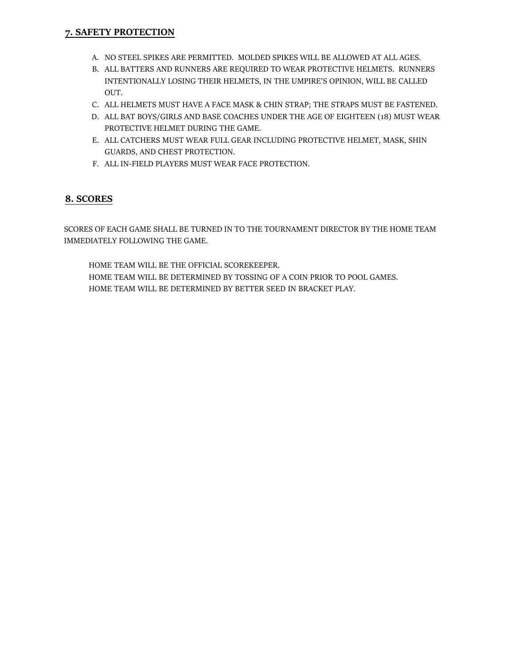## **7. SAFETY PROTECTION**

- A. NO STEEL SPIKES ARE PERMITTED. MOLDED SPIKES WILL BE ALLOWED AT ALL AGES.
- B. ALL BATTERS AND RUNNERS ARE REQUIRED TO WEAR PROTECTIVE HELMETS. RUNNERS INTENTIONALLY LOSING THEIR HELMETS, IN THE UMPIRE'S OPINION, WILL BE CALLED OUT.
- C. ALL HELMETS MUST HAVE A FACE MASK & CHIN STRAP; THE STRAPS MUST BE FASTENED.
- D. ALL BAT BOYS/GIRLS AND BASE COACHES UNDER THE AGE OF EIGHTEEN (18) MUST WEAR PROTECTIVE HELMET DURING THE GAME.
- E. ALL CATCHERS MUST WEAR FULL GEAR INCLUDING PROTECTIVE HELMET, MASK, SHIN GUARDS, AND CHEST PROTECTION.
- F. ALL IN-FIELD PLAYERS MUST WEAR FACE PROTECTION.

## **8. SCORES**

SCORES OF EACH GAME SHALL BE TURNED IN TO THE TOURNAMENT DIRECTOR BY THE HOME TEAM IMMEDIATELY FOLLOWING THE GAME.

HOME TEAM WILL BE THE OFFICIAL SCOREKEEPER. HOME TEAM WILL BE DETERMINED BY TOSSING OF A COIN PRIOR TO POOL GAMES. HOME TEAM WILL BE DETERMINED BY BETTER SEED IN BRACKET PLAY.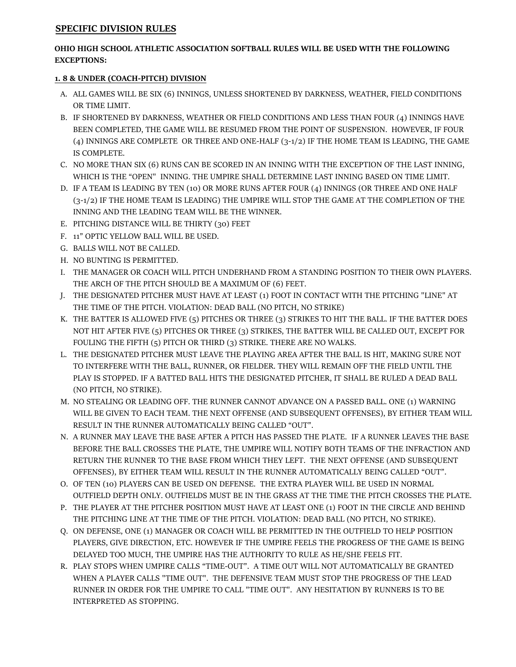#### **SPECIFIC DIVISION RULES**

#### **OHIO HIGH SCHOOL ATHLETIC ASSOCIATION SOFTBALL RULES WILL BE USED WITH THE FOLLOWING EXCEPTIONS:**

### **1. 8 & UNDER (COACH-PITCH) DIVISION**

- A. ALL GAMES WILL BE SIX (6) INNINGS, UNLESS SHORTENED BY DARKNESS, WEATHER, FIELD CONDITIONS OR TIME LIMIT.
- B. IF SHORTENED BY DARKNESS, WEATHER OR FIELD CONDITIONS AND LESS THAN FOUR (4) INNINGS HAVE BEEN COMPLETED, THE GAME WILL BE RESUMED FROM THE POINT OF SUSPENSION. HOWEVER, IF FOUR (4) INNINGS ARE COMPLETE OR THREE AND ONE-HALF (3-1/2) IF THE HOME TEAM IS LEADING, THE GAME IS COMPLETE.
- C. NO MORE THAN SIX (6) RUNS CAN BE SCORED IN AN INNING WITH THE EXCEPTION OF THE LAST INNING, WHICH IS THE "OPEN" INNING. THE UMPIRE SHALL DETERMINE LAST INNING BASED ON TIME LIMIT.
- D. IF A TEAM IS LEADING BY TEN (10) OR MORE RUNS AFTER FOUR (4) INNINGS (OR THREE AND ONE HALF (3-1/2) IF THE HOME TEAM IS LEADING) THE UMPIRE WILL STOP THE GAME AT THE COMPLETION OF THE INNING AND THE LEADING TEAM WILL BE THE WINNER.
- E. PITCHING DISTANCE WILL BE THIRTY (30) FEET
- F. 11" OPTIC YELLOW BALL WILL BE USED.
- G. BALLS WILL NOT BE CALLED.
- H. NO BUNTING IS PERMITTED.
- I. THE MANAGER OR COACH WILL PITCH UNDERHAND FROM A STANDING POSITION TO THEIR OWN PLAYERS. THE ARCH OF THE PITCH SHOULD BE A MAXIMUM OF (6) FEET.
- J. THE DESIGNATED PITCHER MUST HAVE AT LEAST (1) FOOT IN CONTACT WITH THE PITCHING "LINE" AT THE TIME OF THE PITCH. VIOLATION: DEAD BALL (NO PITCH, NO STRIKE)
- K. THE BATTER IS ALLOWED FIVE (5) PITCHES OR THREE (3) STRIKES TO HIT THE BALL. IF THE BATTER DOES NOT HIT AFTER FIVE (5) PITCHES OR THREE (3) STRIKES, THE BATTER WILL BE CALLED OUT, EXCEPT FOR FOULING THE FIFTH (5) PITCH OR THIRD (3) STRIKE. THERE ARE NO WALKS.
- L. THE DESIGNATED PITCHER MUST LEAVE THE PLAYING AREA AFTER THE BALL IS HIT, MAKING SURE NOT TO INTERFERE WITH THE BALL, RUNNER, OR FIELDER. THEY WILL REMAIN OFF THE FIELD UNTIL THE PLAY IS STOPPED. IF A BATTED BALL HITS THE DESIGNATED PITCHER, IT SHALL BE RULED A DEAD BALL (NO PITCH, NO STRIKE).
- M. NO STEALING OR LEADING OFF. THE RUNNER CANNOT ADVANCE ON A PASSED BALL. ONE (1) WARNING WILL BE GIVEN TO EACH TEAM. THE NEXT OFFENSE (AND SUBSEQUENT OFFENSES), BY EITHER TEAM WILL RESULT IN THE RUNNER AUTOMATICALLY BEING CALLED "OUT".
- N. A RUNNER MAY LEAVE THE BASE AFTER A PITCH HAS PASSED THE PLATE. IF A RUNNER LEAVES THE BASE BEFORE THE BALL CROSSES THE PLATE, THE UMPIRE WILL NOTIFY BOTH TEAMS OF THE INFRACTION AND RETURN THE RUNNER TO THE BASE FROM WHICH THEY LEFT. THE NEXT OFFENSE (AND SUBSEQUENT OFFENSES), BY EITHER TEAM WILL RESULT IN THE RUNNER AUTOMATICALLY BEING CALLED "OUT".
- O. OF TEN (10) PLAYERS CAN BE USED ON DEFENSE. THE EXTRA PLAYER WILL BE USED IN NORMAL OUTFIELD DEPTH ONLY. OUTFIELDS MUST BE IN THE GRASS AT THE TIME THE PITCH CROSSES THE PLATE.
- P. THE PLAYER AT THE PITCHER POSITION MUST HAVE AT LEAST ONE (1) FOOT IN THE CIRCLE AND BEHIND THE PITCHING LINE AT THE TIME OF THE PITCH. VIOLATION: DEAD BALL (NO PITCH, NO STRIKE).
- Q. ON DEFENSE, ONE (1) MANAGER OR COACH WILL BE PERMITTED IN THE OUTFIELD TO HELP POSITION PLAYERS, GIVE DIRECTION, ETC. HOWEVER IF THE UMPIRE FEELS THE PROGRESS OF THE GAME IS BEING DELAYED TOO MUCH, THE UMPIRE HAS THE AUTHORITY TO RULE AS HE/SHE FEELS FIT.
- R. PLAY STOPS WHEN UMPIRE CALLS "TIME-OUT". A TIME OUT WILL NOT AUTOMATICALLY BE GRANTED WHEN A PLAYER CALLS "TIME OUT". THE DEFENSIVE TEAM MUST STOP THE PROGRESS OF THE LEAD RUNNER IN ORDER FOR THE UMPIRE TO CALL "TIME OUT". ANY HESITATION BY RUNNERS IS TO BE INTERPRETED AS STOPPING.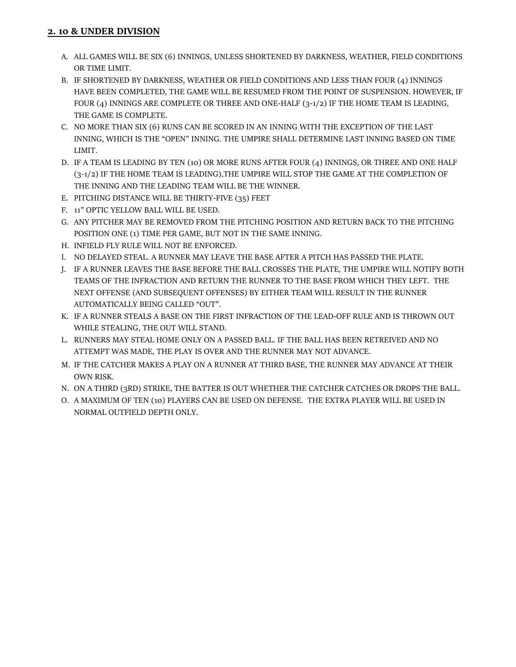## **2. 10 & UNDER DIVISION**

- A. ALL GAMES WILL BE SIX (6) INNINGS, UNLESS SHORTENED BY DARKNESS, WEATHER, FIELD CONDITIONS OR TIME LIMIT.
- B. IF SHORTENED BY DARKNESS, WEATHER OR FIELD CONDITIONS AND LESS THAN FOUR (4) INNINGS HAVE BEEN COMPLETED, THE GAME WILL BE RESUMED FROM THE POINT OF SUSPENSION. HOWEVER, IF FOUR (4) INNINGS ARE COMPLETE OR THREE AND ONE-HALF (3-1/2) IF THE HOME TEAM IS LEADING, THE GAME IS COMPLETE.
- C. NO MORE THAN SIX (6) RUNS CAN BE SCORED IN AN INNING WITH THE EXCEPTION OF THE LAST INNING, WHICH IS THE "OPEN" INNING. THE UMPIRE SHALL DETERMINE LAST INNING BASED ON TIME LIMIT.
- D. IF A TEAM IS LEADING BY TEN (10) OR MORE RUNS AFTER FOUR (4) INNINGS, OR THREE AND ONE HALF (3-1/2) IF THE HOME TEAM IS LEADING),THE UMPIRE WILL STOP THE GAME AT THE COMPLETION OF THE INNING AND THE LEADING TEAM WILL BE THE WINNER.
- E. PITCHING DISTANCE WILL BE THIRTY-FIVE (35) FEET
- F. 11" OPTIC YELLOW BALL WILL BE USED.
- G. ANY PITCHER MAY BE REMOVED FROM THE PITCHING POSITION AND RETURN BACK TO THE PITCHING POSITION ONE (1) TIME PER GAME, BUT NOT IN THE SAME INNING.
- H. INFIELD FLY RULE WILL NOT BE ENFORCED.
- I. NO DELAYED STEAL. A RUNNER MAY LEAVE THE BASE AFTER A PITCH HAS PASSED THE PLATE.
- J. IF A RUNNER LEAVES THE BASE BEFORE THE BALL CROSSES THE PLATE, THE UMPIRE WILL NOTIFY BOTH TEAMS OF THE INFRACTION AND RETURN THE RUNNER TO THE BASE FROM WHICH THEY LEFT. THE NEXT OFFENSE (AND SUBSEQUENT OFFENSES) BY EITHER TEAM WILL RESULT IN THE RUNNER AUTOMATICALLY BEING CALLED "OUT".
- K. IF A RUNNER STEALS A BASE ON THE FIRST INFRACTION OF THE LEAD-OFF RULE AND IS THROWN OUT WHILE STEALING, THE OUT WILL STAND.
- L. RUNNERS MAY STEAL HOME ONLY ON A PASSED BALL. IF THE BALL HAS BEEN RETREIVED AND NO ATTEMPT WAS MADE, THE PLAY IS OVER AND THE RUNNER MAY NOT ADVANCE.
- M. IF THE CATCHER MAKES A PLAY ON A RUNNER AT THIRD BASE, THE RUNNER MAY ADVANCE AT THEIR OWN RISK.
- N. ON A THIRD (3RD) STRIKE, THE BATTER IS OUT WHETHER THE CATCHER CATCHES OR DROPS THE BALL.
- O. A MAXIMUM OF TEN (10) PLAYERS CAN BE USED ON DEFENSE. THE EXTRA PLAYER WILL BE USED IN NORMAL OUTFIELD DEPTH ONLY.